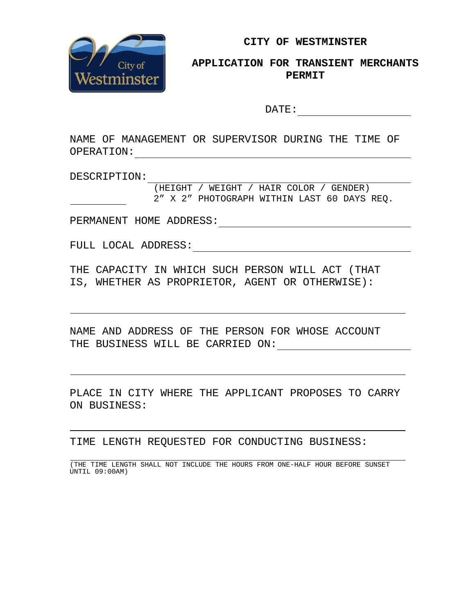

**CITY OF WESTMINSTER**

# **APPLICATION FOR TRANSIENT MERCHANTS PERMIT**

DATE:

NAME OF MANAGEMENT OR SUPERVISOR DURING THE TIME OF OPERATION:

DESCRIPTION:

(HEIGHT / WEIGHT / HAIR COLOR / GENDER) 2" X 2" PHOTOGRAPH WITHIN LAST 60 DAYS REQ.

PERMANENT HOME ADDRESS:

FULL LOCAL ADDRESS:

THE CAPACITY IN WHICH SUCH PERSON WILL ACT (THAT IS, WHETHER AS PROPRIETOR, AGENT OR OTHERWISE):

NAME AND ADDRESS OF THE PERSON FOR WHOSE ACCOUNT THE BUSINESS WILL BE CARRIED ON:

PLACE IN CITY WHERE THE APPLICANT PROPOSES TO CARRY ON BUSINESS:

TIME LENGTH REQUESTED FOR CONDUCTING BUSINESS:

(THE TIME LENGTH SHALL NOT INCLUDE THE HOURS FROM ONE-HALF HOUR BEFORE SUNSET UNTIL 09:00AM)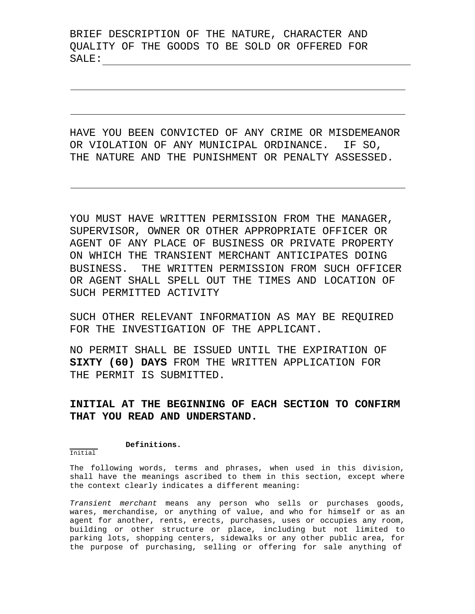BRIEF DESCRIPTION OF THE NATURE, CHARACTER AND QUALITY OF THE GOODS TO BE SOLD OR OFFERED FOR SALE:

HAVE YOU BEEN CONVICTED OF ANY CRIME OR MISDEMEANOR OR VIOLATION OF ANY MUNICIPAL ORDINANCE. IF SO, THE NATURE AND THE PUNISHMENT OR PENALTY ASSESSED.

YOU MUST HAVE WRITTEN PERMISSION FROM THE MANAGER, SUPERVISOR, OWNER OR OTHER APPROPRIATE OFFICER OR AGENT OF ANY PLACE OF BUSINESS OR PRIVATE PROPERTY ON WHICH THE TRANSIENT MERCHANT ANTICIPATES DOING BUSINESS. THE WRITTEN PERMISSION FROM SUCH OFFICER OR AGENT SHALL SPELL OUT THE TIMES AND LOCATION OF SUCH PERMITTED ACTIVITY

SUCH OTHER RELEVANT INFORMATION AS MAY BE REQUIRED FOR THE INVESTIGATION OF THE APPLICANT.

NO PERMIT SHALL BE ISSUED UNTIL THE EXPIRATION OF **SIXTY (60) DAYS** FROM THE WRITTEN APPLICATION FOR THE PERMIT IS SUBMITTED.

# **INITIAL AT THE BEGINNING OF EACH SECTION TO CONFIRM THAT YOU READ AND UNDERSTAND.**

#### **Definitions.**

## Initial

The following words, terms and phrases, when used in this division, shall have the meanings ascribed to them in this section, except where the context clearly indicates a different meaning:

*Transient merchant* means any person who sells or purchases goods, wares, merchandise, or anything of value, and who for himself or as an agent for another, rents, erects, purchases, uses or occupies any room, building or other structure or place, including but not limited to parking lots, shopping centers, sidewalks or any other public area, for the purpose of purchasing, selling or offering for sale anything of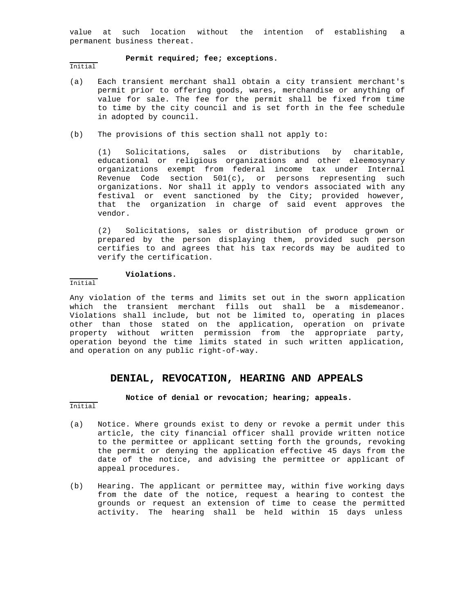value at such location without the intention of establishing a permanent business thereat.

#### **Permit required; fee; exceptions.**

Initial

- (a) Each transient merchant shall obtain a city transient merchant's permit prior to offering goods, wares, merchandise or anything of value for sale. The fee for the permit shall be fixed from time to time by the city council and is set forth in the fee schedule in adopted by council.
- (b) The provisions of this section shall not apply to:

(1) Solicitations, sales or distributions by charitable, educational or religious organizations and other eleemosynary organizations exempt from federal income tax under Internal Revenue Code section 501(c), or persons representing such organizations. Nor shall it apply to vendors associated with any festival or event sanctioned by the City; provided however, that the organization in charge of said event approves the vendor.

(2) Solicitations, sales or distribution of produce grown or prepared by the person displaying them, provided such person certifies to and agrees that his tax records may be audited to verify the certification.

### **Violations.**

Initial

Any violation of the terms and limits set out in the sworn application which the transient merchant fills out shall be a misdemeanor. Violations shall include, but not be limited to, operating in places other than those stated on the application, operation on private property without written permission from the appropriate party, operation beyond the time limits stated in such written application, and operation on any public right-of-way.

### **DENIAL, REVOCATION, HEARING AND APPEALS**

**Notice of denial or revocation; hearing; appeals.**

- Initial
- (a) Notice. Where grounds exist to deny or revoke a permit under this article, the city financial officer shall provide written notice to the permittee or applicant setting forth the grounds, revoking the permit or denying the application effective 45 days from the date of the notice, and advising the permittee or applicant of appeal procedures.
- (b) Hearing. The applicant or permittee may, within five working days from the date of the notice, request a hearing to contest the grounds or request an extension of time to cease the permitted activity. The hearing shall be held within 15 days unless